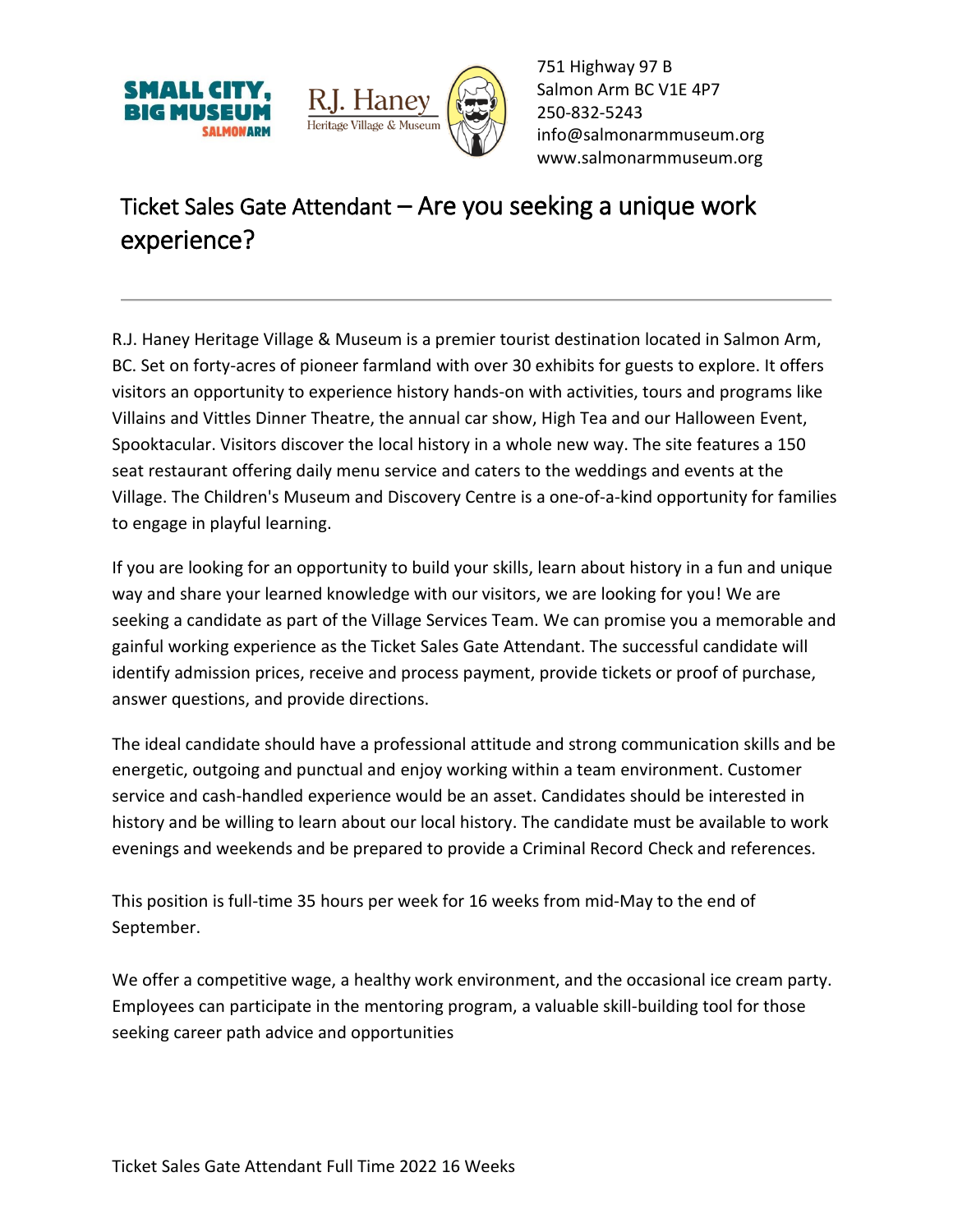



751 Highway 97 B Salmon Arm BC V1E 4P7 250-832-5243 [info@salmonarmmuseum.org](mailto:info@salmonarmmuseum.org) www.salmonarmmuseum.org

## Ticket Sales Gate Attendant – Are you seeking a unique work experience?

R.J. Haney Heritage Village & Museum is a premier tourist destination located in Salmon Arm, BC. Set on forty-acres of pioneer farmland with over 30 exhibits for guests to explore. It offers visitors an opportunity to experience history hands-on with activities, tours and programs like Villains and Vittles Dinner Theatre, the annual car show, High Tea and our Halloween Event, Spooktacular. Visitors discover the local history in a whole new way. The site features a 150 seat restaurant offering daily menu service and caters to the weddings and events at the Village. The Children's Museum and Discovery Centre is a one-of-a-kind opportunity for families to engage in playful learning.

If you are looking for an opportunity to build your skills, learn about history in a fun and unique way and share your learned knowledge with our visitors, we are looking for you! We are seeking a candidate as part of the Village Services Team. We can promise you a memorable and gainful working experience as the Ticket Sales Gate Attendant. The successful candidate will identify admission prices, receive and process payment, provide tickets or proof of purchase, answer questions, and provide directions.

The ideal candidate should have a professional attitude and strong communication skills and be energetic, outgoing and punctual and enjoy working within a team environment. Customer service and cash-handled experience would be an asset. Candidates should be interested in history and be willing to learn about our local history. The candidate must be available to work evenings and weekends and be prepared to provide a Criminal Record Check and references.

This position is full-time 35 hours per week for 16 weeks from mid-May to the end of September.

We offer a competitive wage, a healthy work environment, and the occasional ice cream party. Employees can participate in the mentoring program, a valuable skill-building tool for those seeking career path advice and opportunities